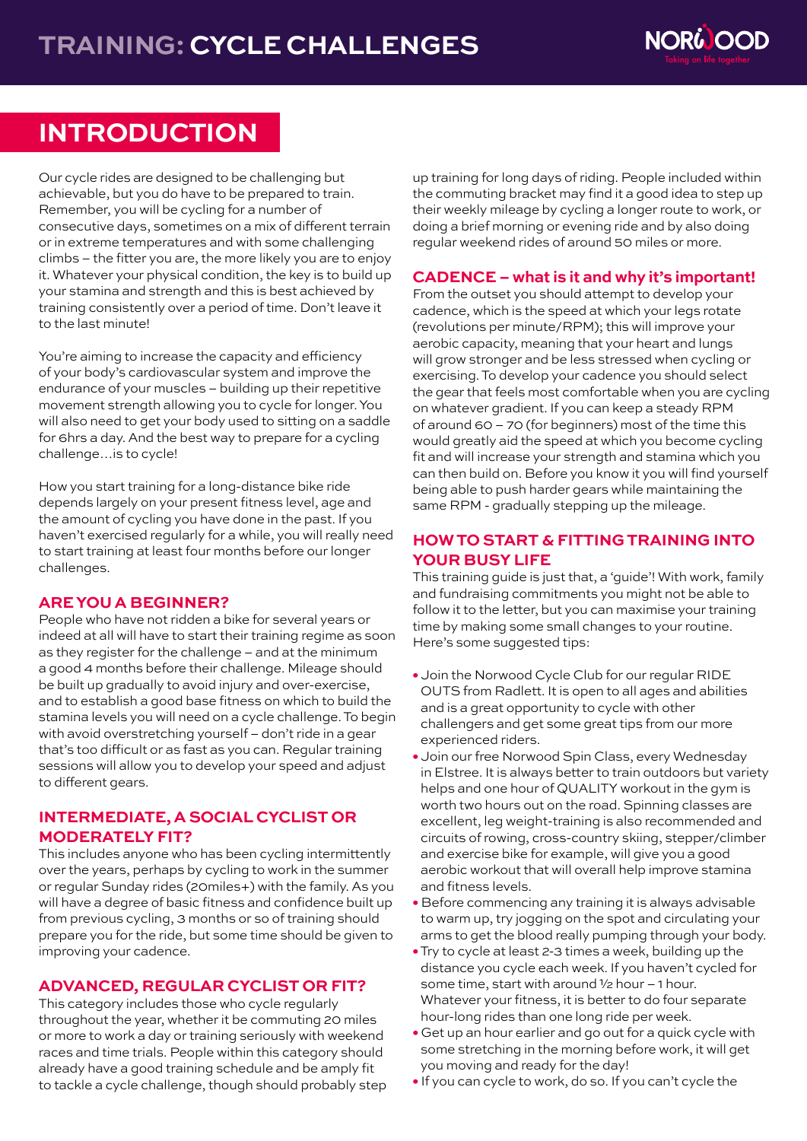

# **INTRODUCTION**

Our cycle rides are designed to be challenging but achievable, but you do have to be prepared to train. Remember, you will be cycling for a number of consecutive days, sometimes on a mix of different terrain or in extreme temperatures and with some challenging climbs – the fitter you are, the more likely you are to enjoy it. Whatever your physical condition, the key is to build up your stamina and strength and this is best achieved by training consistently over a period of time. Don't leave it to the last minute!

You're aiming to increase the capacity and efficiency of your body's cardiovascular system and improve the endurance of your muscles – building up their repetitive movement strength allowing you to cycle for longer. You will also need to get your body used to sitting on a saddle for 6hrs a day. And the best way to prepare for a cycling challenge…is to cycle!

How you start training for a long-distance bike ride depends largely on your present fitness level, age and the amount of cycling you have done in the past. If you haven't exercised regularly for a while, you will really need to start training at least four months before our longer challenges.

### **ARE YOU A BEGINNER?**

People who have not ridden a bike for several years or indeed at all will have to start their training regime as soon as they register for the challenge – and at the minimum a good 4 months before their challenge. Mileage should be built up gradually to avoid injury and over-exercise, and to establish a good base fitness on which to build the stamina levels you will need on a cycle challenge. To begin with avoid overstretching yourself – don't ride in a gear that's too difficult or as fast as you can. Regular training sessions will allow you to develop your speed and adjust to different gears.

### **INTERMEDIATE, A SOCIAL CYCLIST OR MODERATELY FIT?**

This includes anyone who has been cycling intermittently over the years, perhaps by cycling to work in the summer or regular Sunday rides (20miles+) with the family. As you will have a degree of basic fitness and confidence built up from previous cycling, 3 months or so of training should prepare you for the ride, but some time should be given to improving your cadence.

### **ADVANCED, REGULAR CYCLIST OR FIT?**

This category includes those who cycle regularly throughout the year, whether it be commuting 20 miles or more to work a day or training seriously with weekend races and time trials. People within this category should already have a good training schedule and be amply fit to tackle a cycle challenge, though should probably step up training for long days of riding. People included within the commuting bracket may find it a good idea to step up their weekly mileage by cycling a longer route to work, or doing a brief morning or evening ride and by also doing regular weekend rides of around 50 miles or more.

## **CADENCE – what is it and why it's important!**

From the outset you should attempt to develop your cadence, which is the speed at which your legs rotate (revolutions per minute/RPM); this will improve your aerobic capacity, meaning that your heart and lungs will grow stronger and be less stressed when cycling or exercising. To develop your cadence you should select the gear that feels most comfortable when you are cycling on whatever gradient. If you can keep a steady RPM of around 60 – 70 (for beginners) most of the time this would greatly aid the speed at which you become cycling fit and will increase your strength and stamina which you can then build on. Before you know it you will find yourself being able to push harder gears while maintaining the same RPM - gradually stepping up the mileage.

# **HOW TO START & FITTING TRAINING INTO YOUR BUSY LIFE**

This training guide is just that, a 'guide'! With work, family and fundraising commitments you might not be able to follow it to the letter, but you can maximise your training time by making some small changes to your routine. Here's some suggested tips:

- **•** Join the Norwood Cycle Club for our regular RIDE OUTS from Radlett. It is open to all ages and abilities and is a great opportunity to cycle with other challengers and get some great tips from our more experienced riders.
- **•** Join our free Norwood Spin Class, every Wednesday in Elstree. It is always better to train outdoors but variety helps and one hour of QUALITY workout in the gym is worth two hours out on the road. Spinning classes are excellent, leg weight-training is also recommended and circuits of rowing, cross-country skiing, stepper/climber and exercise bike for example, will give you a good aerobic workout that will overall help improve stamina and fitness levels.
- Before commencing any training it is always advisable to warm up, try jogging on the spot and circulating your arms to get the blood really pumping through your body.
- **•** Try to cycle at least 2-3 times a week, building up the distance you cycle each week. If you haven't cycled for some time, start with around ½ hour – 1 hour. Whatever your fitness, it is better to do four separate hour-long rides than one long ride per week.
- **•** Get up an hour earlier and go out for a quick cycle with some stretching in the morning before work, it will get you moving and ready for the day!
- **•** If you can cycle to work, do so. If you can't cycle the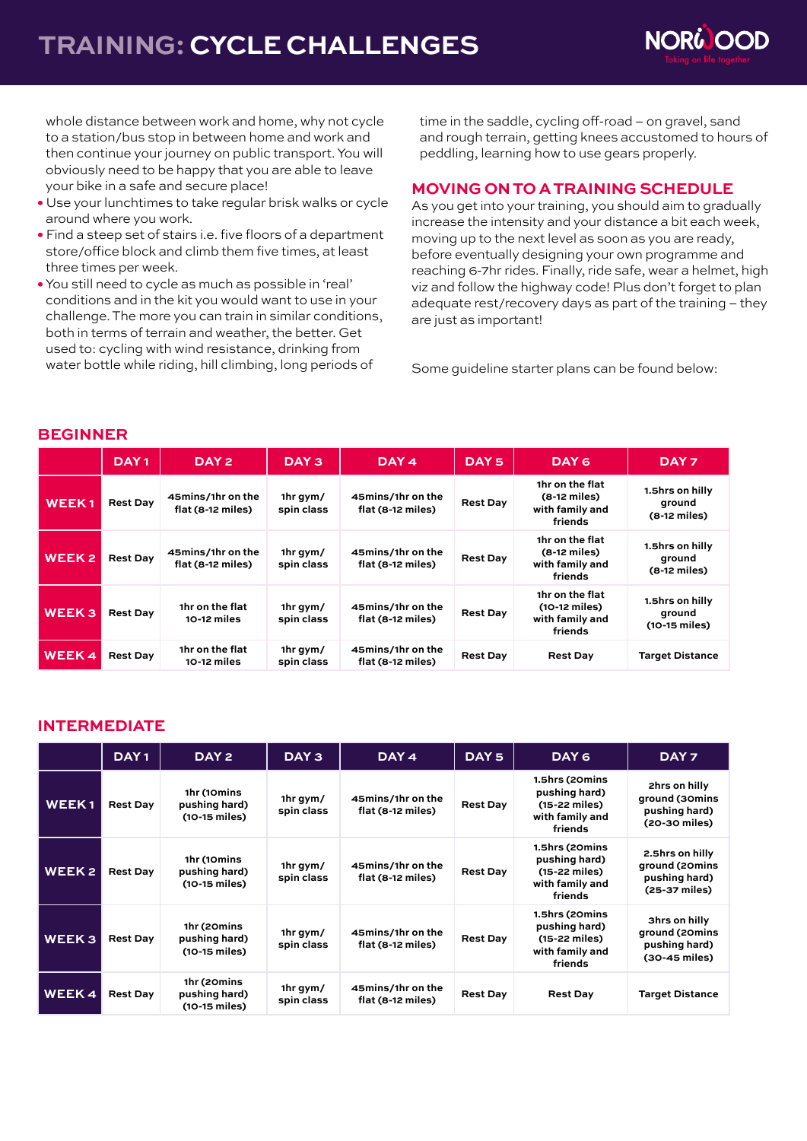# **TRAINING: CYCLE CHALLENGES**



 whole distance between work and home, why not cycle to a station/bus stop in between home and work and then continue your journey on public transport. You will obviously need to be happy that you are able to leave your bike in a safe and secure place!

- **•** Use your lunchtimes to take regular brisk walks or cycle around where you work.
- **•** Find a steep set of stairs i.e. five floors of a department store/office block and climb them five times, at least three times per week.
- **•** You still need to cycle as much as possible in 'real' conditions and in the kit you would want to use in your challenge. The more you can train in similar conditions, both in terms of terrain and weather, the better. Get used to: cycling with wind resistance, drinking from water bottle while riding, hill climbing, long periods of

 time in the saddle, cycling off-road – on gravel, sand and rough terrain, getting knees accustomed to hours of peddling, learning how to use gears properly.

#### **MOVING ON TO A TRAINING SCHEDULE**

As you get into your training, you should aim to gradually increase the intensity and your distance a bit each week, moving up to the next level as soon as you are ready, before eventually designing your own programme and reaching 6-7hr rides. Finally, ride safe, wear a helmet, high viz and follow the highway code! Plus don't forget to plan adequate rest/recovery days as part of the training – they are just as important!

Some guideline starter plans can be found below:

|                   | DAY <sub>1</sub> | DAY <sub>2</sub>                       | DAY <sub>3</sub>       | DAY 4                                  | DAY <sub>5</sub> | DAY 6                                                          | DAY <sub>7</sub>                            |
|-------------------|------------------|----------------------------------------|------------------------|----------------------------------------|------------------|----------------------------------------------------------------|---------------------------------------------|
| <b>WEEK1</b>      | <b>Rest Day</b>  | 45mins/1hr on the<br>flat (8-12 miles) | 1hr gym/<br>spin class | 45mins/1hr on the<br>flat (8-12 miles) | <b>Rest Day</b>  | 1hr on the flat<br>(8-12 miles)<br>with family and<br>friends  | 1.5hrs on hilly<br>ground<br>$(8-12$ miles) |
| <b>WEEK2</b>      | <b>Rest Day</b>  | 45mins/1hr on the<br>flat (8-12 miles) | 1hr gym/<br>spin class | 45mins/1hr on the<br>flat (8-12 miles) | <b>Rest Day</b>  | 1hr on the flat<br>(8-12 miles)<br>with family and<br>friends  | 1.5hrs on hilly<br>ground<br>$(8-12$ miles) |
| WEEK <sub>3</sub> | <b>Rest Day</b>  | 1hr on the flat<br>10-12 miles         | 1hr gym/<br>spin class | 45mins/1hr on the<br>flat (8-12 miles) | <b>Rest Day</b>  | 1hr on the flat<br>(10-12 miles)<br>with family and<br>friends | 1.5hrs on hilly<br>ground<br>(10-15 miles)  |
| <b>WEEK4</b>      | <b>Rest Day</b>  | 1hr on the flat<br>10-12 miles         | 1hr gym/<br>spin class | 45mins/1hr on the<br>flat (8-12 miles) | <b>Rest Day</b>  | <b>Rest Day</b>                                                | <b>Target Distance</b>                      |

# **BEGINNER**

### **INTERMEDIATE**

|              | DAY <sub>1</sub> | DAY <sub>2</sub>                              | DAY <sub>3</sub>       | DAY <sub>4</sub>                       | DAY <sub>5</sub> | DAY <sub>6</sub>                                                               | DAY <sub>7</sub>                                                    |
|--------------|------------------|-----------------------------------------------|------------------------|----------------------------------------|------------------|--------------------------------------------------------------------------------|---------------------------------------------------------------------|
| <b>WEEK1</b> | <b>Rest Day</b>  | 1hr (10mins<br>pushing hard)<br>(10-15 miles) | 1hr gym/<br>spin class | 45mins/1hr on the<br>flat (8-12 miles) | <b>Rest Day</b>  | 1.5hrs (20mins<br>pushing hard)<br>(15-22 miles)<br>with family and<br>friends | 2hrs on hilly<br>ground (30mins<br>pushing hard)<br>(20-30 miles)   |
| <b>WEEK2</b> | <b>Rest Day</b>  | 1hr (10mins<br>pushing hard)<br>(10-15 miles) | 1hr gym/<br>spin class | 45mins/1hr on the<br>flat (8-12 miles) | <b>Rest Day</b>  | 1.5hrs (20mins<br>pushing hard)<br>(15-22 miles)<br>with family and<br>friends | 2.5hrs on hilly<br>ground (20mins<br>pushing hard)<br>(25-37 miles) |
| <b>WEEK3</b> | <b>Rest Day</b>  | 1hr (20mins<br>pushing hard)<br>(10-15 miles) | 1hr gym/<br>spin class | 45mins/1hr on the<br>flat (8-12 miles) | <b>Rest Day</b>  | 1.5hrs (20mins<br>pushing hard)<br>(15-22 miles)<br>with family and<br>friends | 3hrs on hilly<br>ground (20mins<br>pushing hard)<br>(30-45 miles)   |
| <b>WEEK4</b> | <b>Rest Day</b>  | 1hr (20mins<br>pushing hard)<br>(10-15 miles) | 1hr gym/<br>spin class | 45mins/1hr on the<br>flat (8-12 miles) | <b>Rest Day</b>  | <b>Rest Day</b>                                                                | <b>Target Distance</b>                                              |